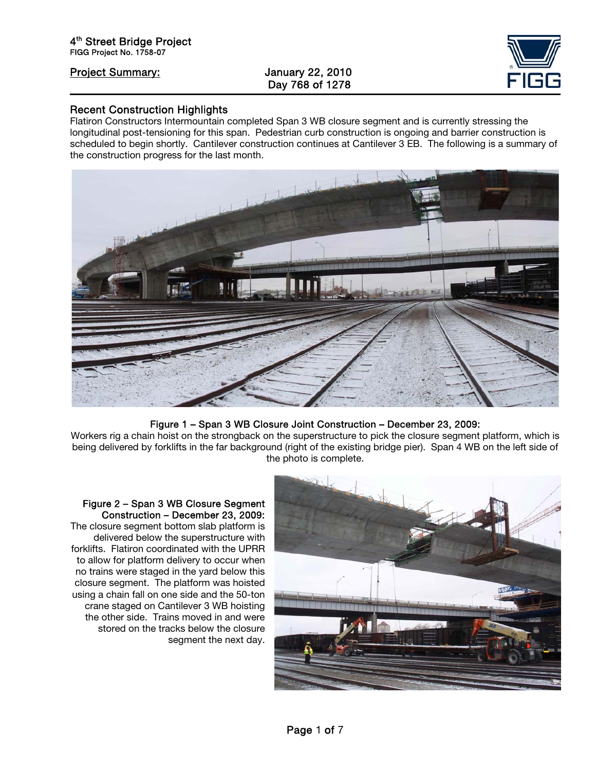ֺ

# Day 768 of 1278



#### Recent Construction Highlights

Flatiron Constructors Intermountain completed Span 3 WB closure segment and is currently stressing the longitudinal post-tensioning for this span. Pedestrian curb construction is ongoing and barrier construction is scheduled to begin shortly. Cantilever construction continues at Cantilever 3 EB. The following is a summary of the construction progress for the last month.



#### Figure 1 – Span 3 WB Closure Joint Construction – December 23, 2009:

Workers rig a chain hoist on the strongback on the superstructure to pick the closure segment platform, which is being delivered by forklifts in the far background (right of the existing bridge pier). Span 4 WB on the left side of the photo is complete.



Figure 2 – Span 3 WB Closure Segment Construction – December 23, 2009: The closure segment bottom slab platform is delivered below the superstructure with forklifts. Flatiron coordinated with the UPRR to allow for platform delivery to occur when no trains were staged in the yard below this closure segment. The platform was hoisted using a chain fall on one side and the 50-ton crane staged on Cantilever 3 WB hoisting the other side. Trains moved in and were stored on the tracks below the closure segment the next day.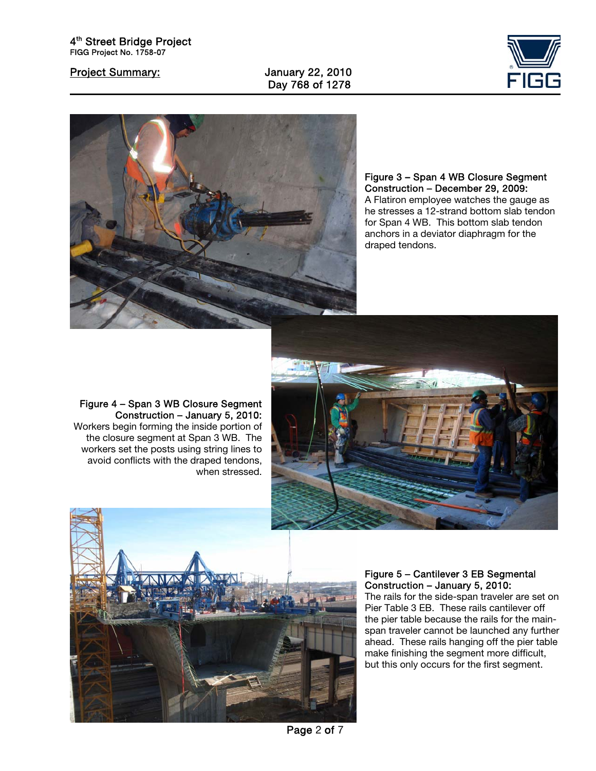ֺ





Figure 3 – Span 4 WB Closure Segment Construction – December 29, 2009: A Flatiron employee watches the gauge as he stresses a 12-strand bottom slab tendon for Span 4 WB. This bottom slab tendon anchors in a deviator diaphragm for the draped tendons.



Figure 4 – Span 3 WB Closure Segment Construction – January 5, 2010: Workers begin forming the inside portion of the closure segment at Span 3 WB. The workers set the posts using string lines to avoid conflicts with the draped tendons, when stressed.



#### Figure 5 – Cantilever 3 EB Segmental Construction – January 5, 2010:

The rails for the side-span traveler are set on Pier Table 3 EB. These rails cantilever off the pier table because the rails for the mainspan traveler cannot be launched any further ahead. These rails hanging off the pier table make finishing the segment more difficult, but this only occurs for the first segment.

Page 2 of 7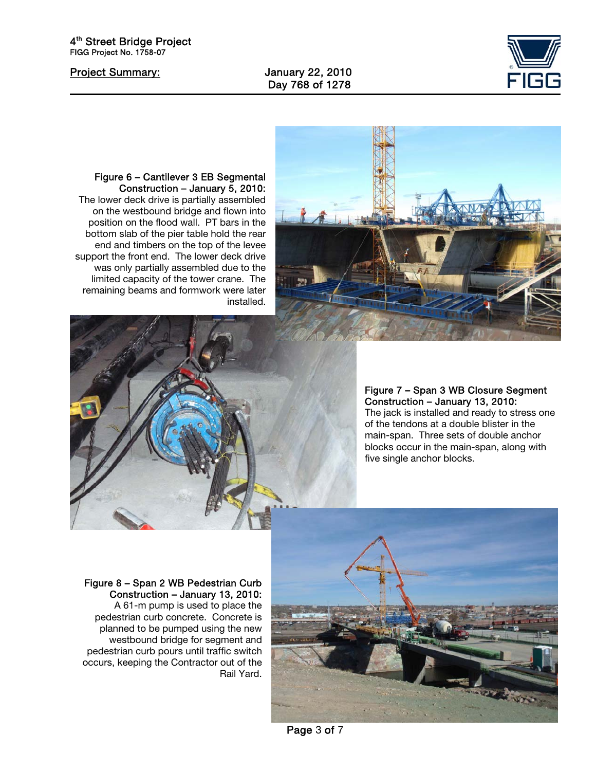ֺ

Day 768 of 1278





Figure 6 – Cantilever 3 EB Segmental Construction – January 5, 2010: The lower deck drive is partially assembled on the westbound bridge and flown into position on the flood wall. PT bars in the bottom slab of the pier table hold the rear end and timbers on the top of the levee support the front end. The lower deck drive was only partially assembled due to the limited capacity of the tower crane. The remaining beams and formwork were later installed.



### Figure 7 – Span 3 WB Closure Segment Construction – January 13, 2010: The jack is installed and ready to stress one of the tendons at a double blister in the

main-span. Three sets of double anchor blocks occur in the main-span, along with five single anchor blocks.



#### Figure 8 – Span 2 WB Pedestrian Curb Construction – January 13, 2010:

A 61-m pump is used to place the pedestrian curb concrete. Concrete is planned to be pumped using the new westbound bridge for segment and pedestrian curb pours until traffic switch occurs, keeping the Contractor out of the Rail Yard.

Page 3 of 7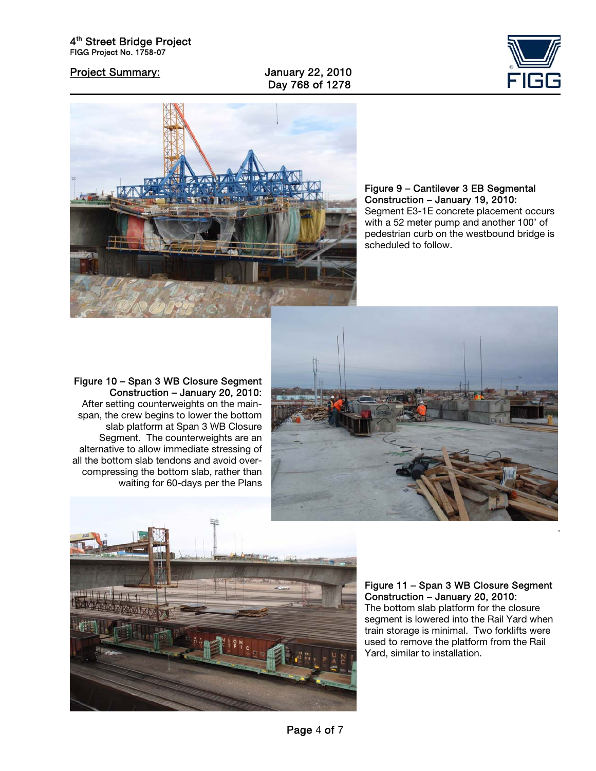Day 768 of 1278





Figure 9 – Cantilever 3 EB Segmental Construction – January 19, 2010: Segment E3-1E concrete placement occurs with a 52 meter pump and another 100' of pedestrian curb on the westbound bridge is scheduled to follow.

#### Figure 10 – Span 3 WB Closure Segment Construction – January 20, 2010:

After setting counterweights on the mainspan, the crew begins to lower the bottom slab platform at Span 3 WB Closure Segment. The counterweights are an alternative to allow immediate stressing of all the bottom slab tendons and avoid overcompressing the bottom slab, rather than waiting for 60-days per the Plans





### Figure 11 – Span 3 WB Closure Segment Construction – January 20, 2010:

.

The bottom slab platform for the closure segment is lowered into the Rail Yard when train storage is minimal. Two forklifts were used to remove the platform from the Rail Yard, similar to installation.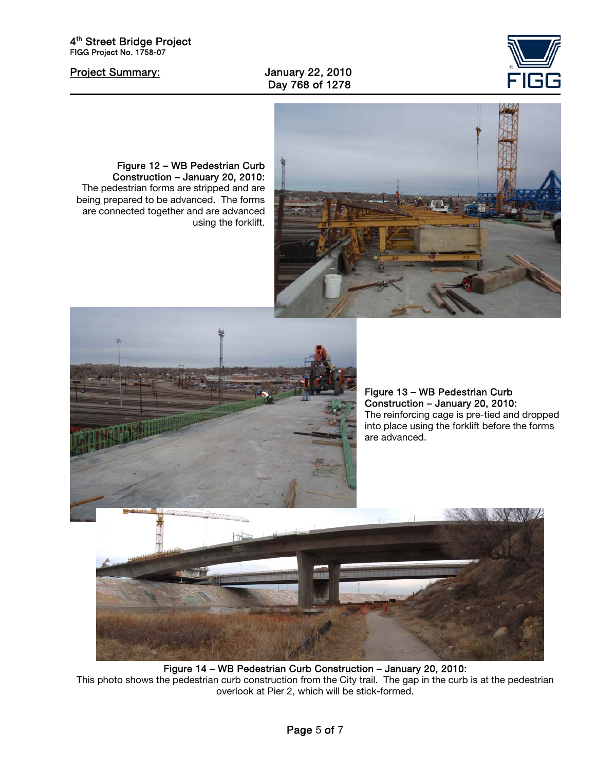

ֺ

#### Project Summary: January 22, 2010 Day 768 of 1278



#### Figure 12 – WB Pedestrian Curb Construction – January 20, 2010:

The pedestrian forms are stripped and are being prepared to be advanced. The forms are connected together and are advanced using the forklift.



Figure 13 – WB Pedestrian Curb Construction – January 20, 2010: The reinforcing cage is pre-tied and dropped into place using the forklift before the forms are advanced.



Figure 14 – WB Pedestrian Curb Construction – January 20, 2010: This photo shows the pedestrian curb construction from the City trail. The gap in the curb is at the pedestrian overlook at Pier 2, which will be stick-formed.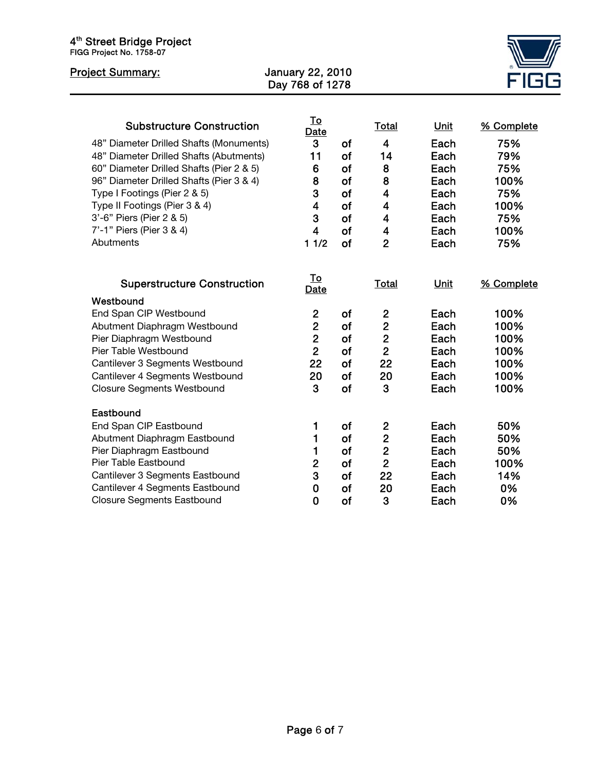| 4 <sup>th</sup> Street Bridge Project<br>FIGG Project No. 1758-07                                                                                                                                                                                                                                                                                    |                                                                                          |                                                           |                                                                                                                                                                              |                                                                                     |                                                                              |
|------------------------------------------------------------------------------------------------------------------------------------------------------------------------------------------------------------------------------------------------------------------------------------------------------------------------------------------------------|------------------------------------------------------------------------------------------|-----------------------------------------------------------|------------------------------------------------------------------------------------------------------------------------------------------------------------------------------|-------------------------------------------------------------------------------------|------------------------------------------------------------------------------|
| <b>Project Summary:</b>                                                                                                                                                                                                                                                                                                                              | January 22, 2010<br>Day 768 of 1278                                                      |                                                           |                                                                                                                                                                              |                                                                                     |                                                                              |
| <b>Substructure Construction</b><br>48" Diameter Drilled Shafts (Monuments)<br>48" Diameter Drilled Shafts (Abutments)<br>60" Diameter Drilled Shafts (Pier 2 & 5)<br>96" Diameter Drilled Shafts (Pier 3 & 4)<br>Type I Footings (Pier 2 & 5)<br>Type II Footings (Pier 3 & 4)<br>3'-6" Piers (Pier 2 & 5)<br>7'-1" Piers (Pier 3 & 4)<br>Abutments | <u>To</u><br>Date<br>3<br>11<br>6<br>8<br>3<br>$\overline{\mathbf{4}}$<br>3<br>4<br>11/2 | of<br>of<br>of<br>of<br>of<br>of<br>of<br>of<br><b>of</b> | <b>Total</b><br>$\overline{4}$<br>14<br>8<br>8<br>$\overline{\mathbf{4}}$<br>$\overline{\mathbf{4}}$<br>$\overline{\mathbf{4}}$<br>$\overline{\mathbf{4}}$<br>$\overline{2}$ | <b>Unit</b><br>Each<br>Each<br>Each<br>Each<br>Each<br>Each<br>Each<br>Each<br>Each | % Complete<br>75%<br>79%<br>75%<br>100%<br>75%<br>100%<br>75%<br>100%<br>75% |
| <b>Superstructure Construction</b>                                                                                                                                                                                                                                                                                                                   | <u>To</u><br>Date                                                                        |                                                           | <b>Total</b>                                                                                                                                                                 | Unit                                                                                | % Complete                                                                   |
| Westbound<br>End Span CIP Westbound<br>Abutment Diaphragm Westbound<br>Pier Diaphragm Westbound<br>Pier Table Westbound<br>Cantilever 3 Segments Westbound<br>Cantilever 4 Segments Westbound<br><b>Closure Segments Westbound</b>                                                                                                                   | $\overline{2}$<br>$\overline{2}$<br>$\overline{2}$<br>$\overline{2}$<br>22<br>20<br>3    | of<br>of<br>of<br>of<br>of<br>of<br>of                    | $\overline{2}$<br>$\overline{2}$<br>$\overline{2}$<br>$\overline{2}$<br>22<br>20<br>3                                                                                        | Each<br>Each<br>Each<br>Each<br>Each<br>Each<br>Each                                | 100%<br>100%<br>100%<br>100%<br>100%<br>100%<br>100%                         |
| Eastbound<br>End Span CIP Eastbound<br>Abutment Diaphragm Eastbound<br>Pier Diaphragm Eastbound<br>Pier Table Eastbound<br>Cantilever 3 Segments Eastbound<br>Cantilever 4 Segments Eastbound<br><b>Closure Segments Eastbound</b>                                                                                                                   | 1<br>1<br>1<br>$\overline{2}$<br>3<br>$\mathbf 0$<br>0                                   | of<br>of<br>of<br>of<br><b>of</b><br><b>of</b><br>of      | $\mathbf{2}$<br>$\overline{2}$<br>$\overline{2}$<br>$\overline{2}$<br>22<br>20<br>3                                                                                          | Each<br>Each<br>Each<br>Each<br>Each<br>Each<br>Each                                | 50%<br>50%<br>50%<br>100%<br>14%<br>0%<br>0%                                 |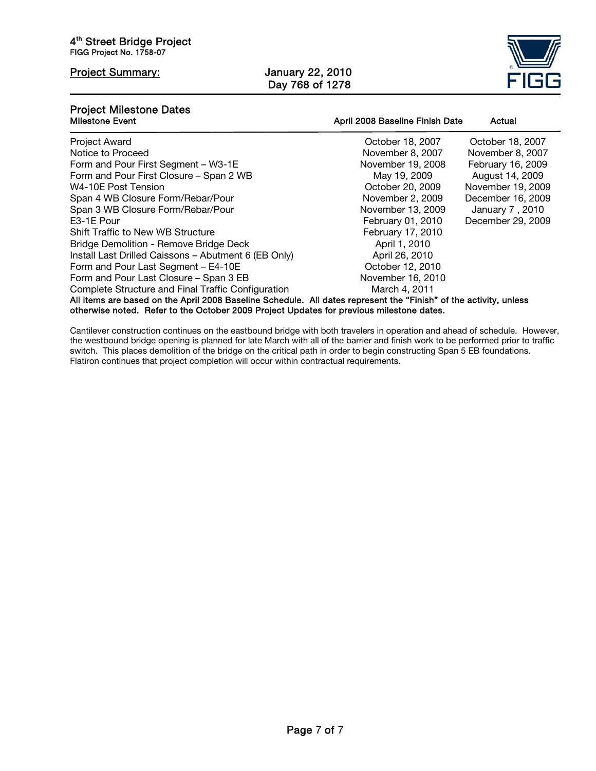ֺ

#### Project Summary: January 22, 2010 Day 768 of 1278



## **Project Milestone Dates<br>Milestone Event**

| <b>Milestone Event</b>                                                                                            | April 2008 Baseline Finish Date | Actual            |  |  |  |
|-------------------------------------------------------------------------------------------------------------------|---------------------------------|-------------------|--|--|--|
| <b>Project Award</b>                                                                                              | October 18, 2007                | October 18, 2007  |  |  |  |
| Notice to Proceed                                                                                                 | November 8, 2007                | November 8, 2007  |  |  |  |
| Form and Pour First Segment - W3-1E                                                                               | November 19, 2008               | February 16, 2009 |  |  |  |
| Form and Pour First Closure – Span 2 WB                                                                           | May 19, 2009                    | August 14, 2009   |  |  |  |
| W4-10E Post Tension                                                                                               | October 20, 2009                | November 19, 2009 |  |  |  |
| Span 4 WB Closure Form/Rebar/Pour                                                                                 | November 2, 2009                | December 16, 2009 |  |  |  |
| Span 3 WB Closure Form/Rebar/Pour                                                                                 | November 13, 2009               | January 7, 2010   |  |  |  |
| E3-1E Pour                                                                                                        | February 01, 2010               | December 29, 2009 |  |  |  |
| <b>Shift Traffic to New WB Structure</b>                                                                          | February 17, 2010               |                   |  |  |  |
| Bridge Demolition - Remove Bridge Deck                                                                            | April 1, 2010                   |                   |  |  |  |
| Install Last Drilled Caissons - Abutment 6 (EB Only)                                                              | April 26, 2010                  |                   |  |  |  |
| Form and Pour Last Segment - E4-10E                                                                               | October 12, 2010                |                   |  |  |  |
| Form and Pour Last Closure - Span 3 EB                                                                            | November 16, 2010               |                   |  |  |  |
| Complete Structure and Final Traffic Configuration                                                                | March 4, 2011                   |                   |  |  |  |
| All items are based on the April 2008 Baseline Schedule. All dates represent the "Finish" of the activity, unless |                                 |                   |  |  |  |
| otherwise noted. Refer to the October 2009 Project Updates for previous milestone dates.                          |                                 |                   |  |  |  |

Cantilever construction continues on the eastbound bridge with both travelers in operation and ahead of schedule. However, the westbound bridge opening is planned for late March with all of the barrier and finish work to be performed prior to traffic switch. This places demolition of the bridge on the critical path in order to begin constructing Span 5 EB foundations. Flatiron continues that project completion will occur within contractual requirements.